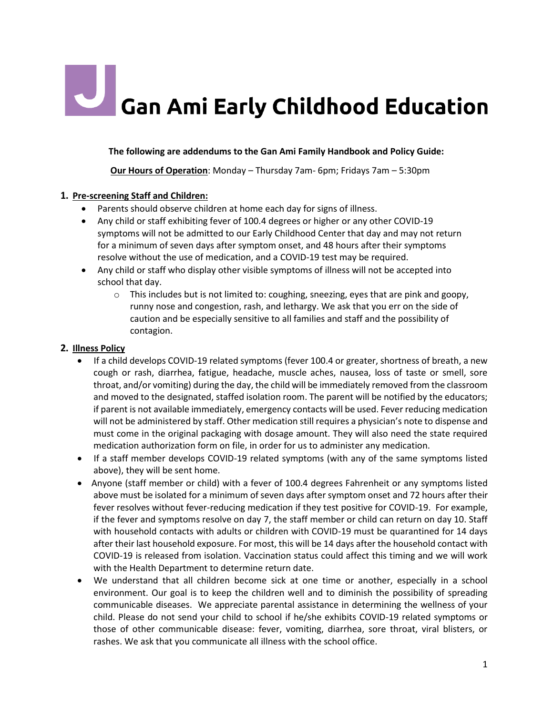# **Can Ami Early Childhood Education**

**The following are addendums to the Gan Ami Family Handbook and Policy Guide:**

**Our Hours of Operation**: Monday – Thursday 7am- 6pm; Fridays 7am – 5:30pm

## **1. Pre-screening Staff and Children:**

- Parents should observe children at home each day for signs of illness.
- Any child or staff exhibiting fever of 100.4 degrees or higher or any other COVID-19 symptoms will not be admitted to our Early Childhood Center that day and may not return for a minimum of seven days after symptom onset, and 48 hours after their symptoms resolve without the use of medication, and a COVID-19 test may be required.
- Any child or staff who display other visible symptoms of illness will not be accepted into school that day.
	- $\circ$  This includes but is not limited to: coughing, sneezing, eyes that are pink and goopy, runny nose and congestion, rash, and lethargy. We ask that you err on the side of caution and be especially sensitive to all families and staff and the possibility of contagion.

## **2. Illness Policy**

- If a child develops COVID-19 related symptoms (fever 100.4 or greater, shortness of breath, a new cough or rash, diarrhea, fatigue, headache, muscle aches, nausea, loss of taste or smell, sore throat, and/or vomiting) during the day, the child will be immediately removed from the classroom and moved to the designated, staffed isolation room. The parent will be notified by the educators; if parent is not available immediately, emergency contacts will be used. Fever reducing medication will not be administered by staff. Other medication still requires a physician's note to dispense and must come in the original packaging with dosage amount. They will also need the state required medication authorization form on file, in order for us to administer any medication.
- If a staff member develops COVID-19 related symptoms (with any of the same symptoms listed above), they will be sent home.
- Anyone (staff member or child) with a fever of 100.4 degrees Fahrenheit or any symptoms listed above must be isolated for a minimum of seven days after symptom onset and 72 hours after their fever resolves without fever-reducing medication if they test positive for COVID-19. For example, if the fever and symptoms resolve on day 7, the staff member or child can return on day 10. Staff with household contacts with adults or children with COVID-19 must be quarantined for 14 days after their last household exposure. For most, this will be 14 days after the household contact with COVID-19 is released from isolation. Vaccination status could affect this timing and we will work with the Health Department to determine return date.
- We understand that all children become sick at one time or another, especially in a school environment. Our goal is to keep the children well and to diminish the possibility of spreading communicable diseases. We appreciate parental assistance in determining the wellness of your child. Please do not send your child to school if he/she exhibits COVID-19 related symptoms or those of other communicable disease: fever, vomiting, diarrhea, sore throat, viral blisters, or rashes. We ask that you communicate all illness with the school office.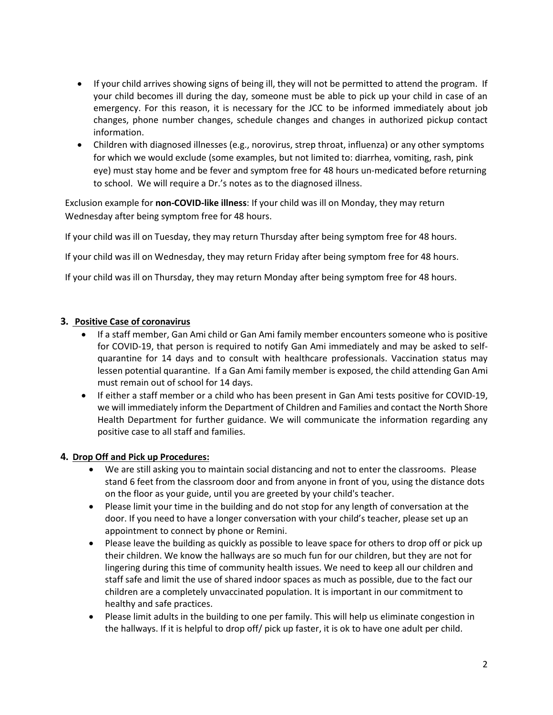- If your child arrives showing signs of being ill, they will not be permitted to attend the program. If your child becomes ill during the day, someone must be able to pick up your child in case of an emergency. For this reason, it is necessary for the JCC to be informed immediately about job changes, phone number changes, schedule changes and changes in authorized pickup contact information.
- Children with diagnosed illnesses (e.g., norovirus, strep throat, influenza) or any other symptoms for which we would exclude (some examples, but not limited to: diarrhea, vomiting, rash, pink eye) must stay home and be fever and symptom free for 48 hours un-medicated before returning to school. We will require a Dr.'s notes as to the diagnosed illness.

Exclusion example for **non-COVID-like illness**: If your child was ill on Monday, they may return Wednesday after being symptom free for 48 hours.

If your child was ill on Tuesday, they may return Thursday after being symptom free for 48 hours.

If your child was ill on Wednesday, they may return Friday after being symptom free for 48 hours.

If your child was ill on Thursday, they may return Monday after being symptom free for 48 hours.

#### **3. Positive Case of coronavirus**

- If a staff member, Gan Ami child or Gan Ami family member encounters someone who is positive for COVID-19, that person is required to notify Gan Ami immediately and may be asked to selfquarantine for 14 days and to consult with healthcare professionals. Vaccination status may lessen potential quarantine. If a Gan Ami family member is exposed, the child attending Gan Ami must remain out of school for 14 days.
- If either a staff member or a child who has been present in Gan Ami tests positive for COVID-19, we will immediately inform the Department of Children and Families and contact the North Shore Health Department for further guidance. We will communicate the information regarding any positive case to all staff and families.

#### **4. Drop Off and Pick up Procedures:**

- We are still asking you to maintain social distancing and not to enter the classrooms. Please stand 6 feet from the classroom door and from anyone in front of you, using the distance dots on the floor as your guide, until you are greeted by your child's teacher.
- Please limit your time in the building and do not stop for any length of conversation at the door. If you need to have a longer conversation with your child's teacher, please set up an appointment to connect by phone or Remini.
- Please leave the building as quickly as possible to leave space for others to drop off or pick up their children. We know the hallways are so much fun for our children, but they are not for lingering during this time of community health issues. We need to keep all our children and staff safe and limit the use of shared indoor spaces as much as possible, due to the fact our children are a completely unvaccinated population. It is important in our commitment to healthy and safe practices.
- Please limit adults in the building to one per family. This will help us eliminate congestion in the hallways. If it is helpful to drop off/ pick up faster, it is ok to have one adult per child.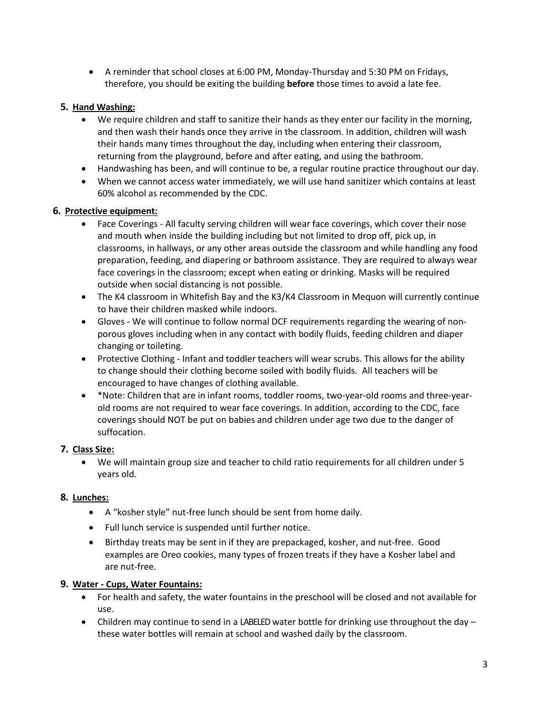• A reminder that school closes at 6:00 PM, Monday-Thursday and 5:30 PM on Fridays, therefore, you should be exiting the building **before** those times to avoid a late fee.

## **5. Hand Washing:**

- We require children and staff to sanitize their hands as they enter our facility in the morning, and then wash their hands once they arrive in the classroom. In addition, children will wash their hands many times throughout the day, including when entering their classroom, returning from the playground, before and after eating, and using the bathroom.
- Handwashing has been, and will continue to be, a regular routine practice throughout our day.
- When we cannot access water immediately, we will use hand sanitizer which contains at least 60% alcohol as recommended by the CDC.

## **6. Protective equipment:**

- Face Coverings All faculty serving children will wear face coverings, which cover their nose and mouth when inside the building including but not limited to drop off, pick up, in classrooms, in hallways, or any other areas outside the classroom and while handling any food preparation, feeding, and diapering or bathroom assistance. They are required to always wear face coverings in the classroom; except when eating or drinking. Masks will be required outside when social distancing is not possible.
- The K4 classroom in Whitefish Bay and the K3/K4 Classroom in Mequon will currently continue to have their children masked while indoors.
- Gloves We will continue to follow normal DCF requirements regarding the wearing of nonporous gloves including when in any contact with bodily fluids, feeding children and diaper changing or toileting.
- Protective Clothing Infant and toddler teachers will wear scrubs. This allows for the ability to change should their clothing become soiled with bodily fluids. All teachers will be encouraged to have changes of clothing available.
- \*Note: Children that are in infant rooms, toddler rooms, two-year-old rooms and three-yearold rooms are not required to wear face coverings. In addition, according to the CDC, face coverings should NOT be put on babies and children under age two due to the danger of suffocation.

## **7. Class Size:**

• We will maintain group size and teacher to child ratio requirements for all children under 5 years old.

## **8. Lunches:**

- A "kosher style" nut-free lunch should be sent from home daily.
- Full lunch service is suspended until further notice.
- Birthday treats may be sent in if they are prepackaged, kosher, and nut-free. Good examples are Oreo cookies, many types of frozen treats if they have a Kosher label and are nut-free.

## **9. Water - Cups, Water Fountains:**

- For health and safety, the water fountains in the preschool will be closed and not available for use.
- Children may continue to send in a LABELED water bottle for drinking use throughout the day  $$ these water bottles will remain at school and washed daily by the classroom.